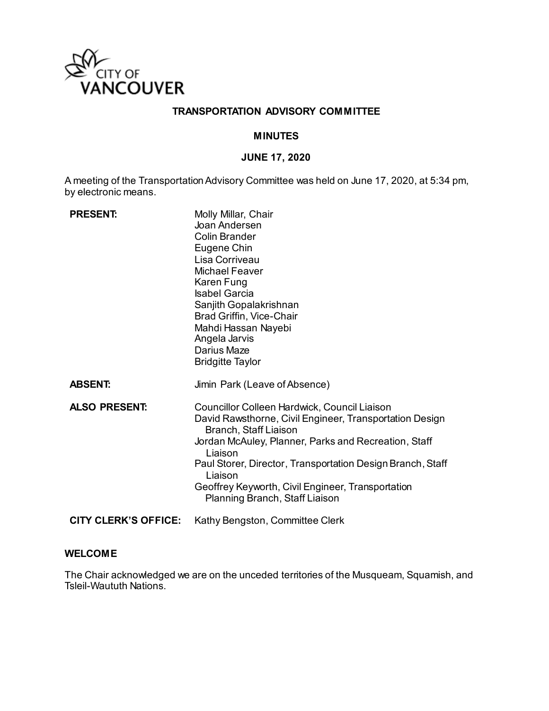

## **TRANSPORTATION ADVISORY COMMITTEE**

## **MINUTES**

# **JUNE 17, 2020**

A meeting of the Transportation Advisory Committee was held on June 17, 2020, at 5:34 pm, by electronic means.

| <b>PRESENT:</b>             | Molly Millar, Chair<br>Joan Andersen<br><b>Colin Brander</b><br>Eugene Chin<br>Lisa Corriveau<br><b>Michael Feaver</b><br>Karen Fung<br><b>Isabel Garcia</b><br>Sanjith Gopalakrishnan<br>Brad Griffin, Vice-Chair<br>Mahdi Hassan Nayebi<br>Angela Jarvis<br>Darius Maze<br><b>Bridgitte Taylor</b>                                                                |
|-----------------------------|---------------------------------------------------------------------------------------------------------------------------------------------------------------------------------------------------------------------------------------------------------------------------------------------------------------------------------------------------------------------|
| <b>ABSENT:</b>              | Jimin Park (Leave of Absence)                                                                                                                                                                                                                                                                                                                                       |
| <b>ALSO PRESENT:</b>        | Councillor Colleen Hardwick, Council Liaison<br>David Rawsthorne, Civil Engineer, Transportation Design<br>Branch, Staff Liaison<br>Jordan McAuley, Planner, Parks and Recreation, Staff<br>Liaison<br>Paul Storer, Director, Transportation Design Branch, Staff<br>Liaison<br>Geoffrey Keyworth, Civil Engineer, Transportation<br>Planning Branch, Staff Liaison |
| <b>CITY CLERK'S OFFICE:</b> | Kathy Bengston, Committee Clerk                                                                                                                                                                                                                                                                                                                                     |

#### **WELCOME**

The Chair acknowledged we are on the unceded territories of the Musqueam, Squamish, and Tsleil-Waututh Nations.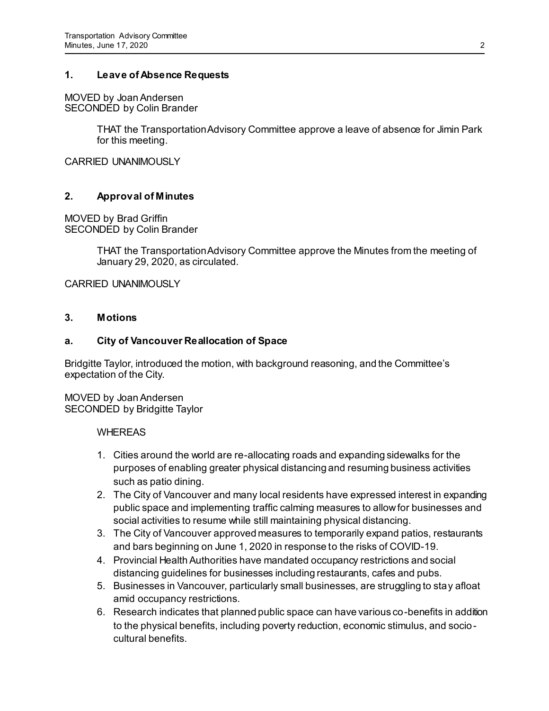### **1. Leave of Absence Requests**

MOVED by JoanAndersen SECONDED by Colin Brander

> THAT the Transportation Advisory Committee approve a leave of absence for Jimin Park for this meeting.

CARRIED UNANIMOUSLY

## **2. Approval of Minutes**

MOVED by Brad Griffin SECONDED by Colin Brander

> THAT the Transportation Advisory Committee approve the Minutes from the meeting of January 29, 2020, as circulated.

CARRIED UNANIMOUSLY

### **3. Motions**

#### **a. City of Vancouver Reallocation of Space**

Bridgitte Taylor, introduced the motion, with background reasoning, and the Committee's expectation of the City.

MOVED by Joan Andersen SECONDED by Bridgitte Taylor

#### **WHEREAS**

- 1. Cities around the world are re-allocating roads and expanding sidewalks for the purposes of enabling greater physical distancing and resuming business activities such as patio dining.
- 2. The City of Vancouver and many local residents have expressed interest in expanding public space and implementing traffic calming measures to allow for businesses and social activities to resume while still maintaining physical distancing.
- 3. The City of Vancouver approved measures to temporarily expand patios, restaurants and bars beginning on June 1, 2020 in response to the risks of COVID-19.
- 4. Provincial Health Authorities have mandated occupancy restrictions and social distancing guidelines for businesses including restaurants, cafes and pubs.
- 5. Businesses in Vancouver, particularly small businesses, are struggling to stay afloat amid occupancy restrictions.
- 6. Research indicates that planned public space can have various co-benefits in addition to the physical benefits, including poverty reduction, economic stimulus, and sociocultural benefits.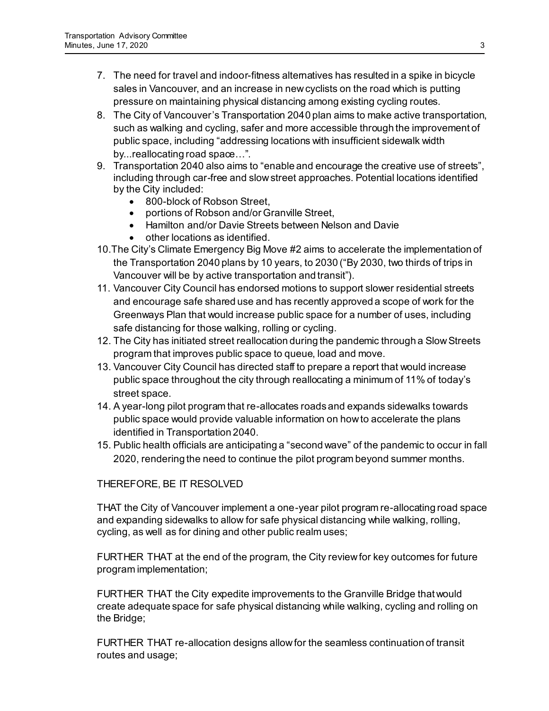- 7. The need for travel and indoor-fitness alternatives has resulted in a spike in bicycle sales in Vancouver, and an increase in new cyclists on the road which is putting pressure on maintaining physical distancing among existing cycling routes.
- 8. The City of Vancouver's Transportation 2040 plan aims to make active transportation, such as walking and cycling, safer and more accessible through the improvement of public space, including "addressing locations with insufficient sidewalk width by...reallocating road space...".
- 9. Transportation 2040 also aims to "enable and encourage the creative use of streets", including through car-free and slow street approaches. Potential locations identified by the City included:
	- 800-block of Robson Street.
	- portions of Robson and/or Granville Street,
	- Hamilton and/or Davie Streets between Nelson and Davie
	- other locations as identified.
- 10.The City's Climate Emergency Big Move #2 aims to accelerate the implementation of the Transportation 2040 plans by 10 years, to 2030 ("By 2030, two thirds of trips in Vancouver will be by active transportation and transit").
- 11. Vancouver City Council has endorsed motions to support slower residential streets and encourage safe shared use and has recently approved a scope of work for the Greenways Plan that would increase public space for a number of uses, including safe distancing for those walking, rolling or cycling.
- 12. The City has initiated street reallocation during the pandemic through a Slow Streets program that improves public space to queue, load and move.
- 13. Vancouver City Council has directed staff to prepare a report that would increase public space throughout the city through reallocating a minimum of 11% of today's street space.
- 14. A year-long pilot program that re-allocates roads and expands sidewalks towards public space would provide valuable information on how to accelerate the plans identified in Transportation 2040.
- 15. Public health officials are anticipating a "second wave" of the pandemic to occur in fall 2020, rendering the need to continue the pilot program beyond summer months.

# THEREFORE, BE IT RESOLVED

THAT the City of Vancouver implement a one-year pilot program re-allocating road space and expanding sidewalks to allow for safe physical distancing while walking, rolling, cycling, as well as for dining and other public realm uses;

FURTHER THAT at the end of the program, the City review for key outcomes for future program implementation;

FURTHER THAT the City expedite improvements to the Granville Bridge that would create adequate space for safe physical distancing while walking, cycling and rolling on the Bridge;

FURTHER THAT re-allocation designs allow for the seamless continuation of transit routes and usage;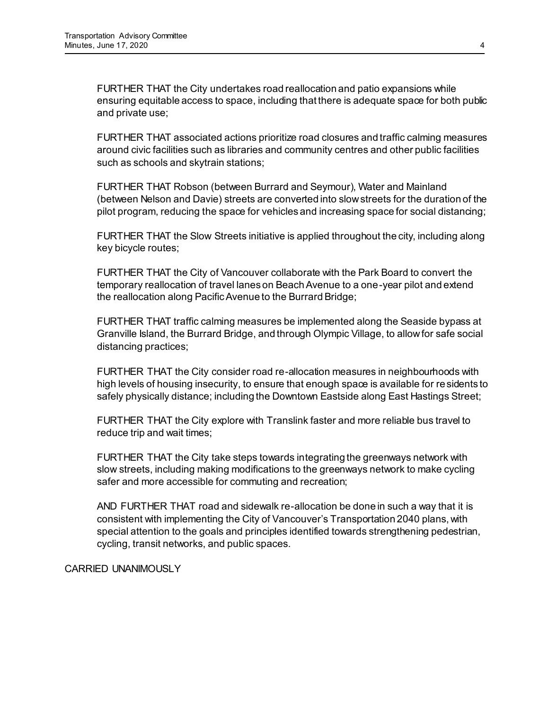FURTHER THAT the City undertakes road reallocation and patio expansions while ensuring equitable access to space, including that there is adequate space for both public and private use;

FURTHER THAT associated actions prioritize road closures and traffic calming measures around civic facilities such as libraries and community centres and other public facilities such as schools and skytrain stations;

FURTHER THAT Robson (between Burrard and Seymour), Water and Mainland (between Nelson and Davie) streets are converted into slow streets for the duration of the pilot program, reducing the space for vehicles and increasing space for social distancing;

FURTHER THAT the Slow Streets initiative is applied throughout the city, including along key bicycle routes;

FURTHER THAT the City of Vancouver collaborate with the Park Board to convert the temporary reallocation of travel lanes on Beach Avenue to a one-year pilot and extend the reallocation along Pacific Avenue to the Burrard Bridge;

FURTHER THAT traffic calming measures be implemented along the Seaside bypass at Granville Island, the Burrard Bridge, and through Olympic Village, to allow for safe social distancing practices;

FURTHER THAT the City consider road re-allocation measures in neighbourhoods with high levels of housing insecurity, to ensure that enough space is available for residents to safely physically distance; including the Downtown Eastside along East Hastings Street;

FURTHER THAT the City explore with Translink faster and more reliable bus travel to reduce trip and wait times;

FURTHER THAT the City take steps towards integrating the greenways network with slow streets, including making modifications to the greenways network to make cycling safer and more accessible for commuting and recreation;

AND FURTHER THAT road and sidewalk re-allocation be done in such a way that it is consistent with implementing the City of Vancouver's Transportation 2040 plans, with special attention to the goals and principles identified towards strengthening pedestrian, cycling, transit networks, and public spaces.

CARRIED UNANIMOUSLY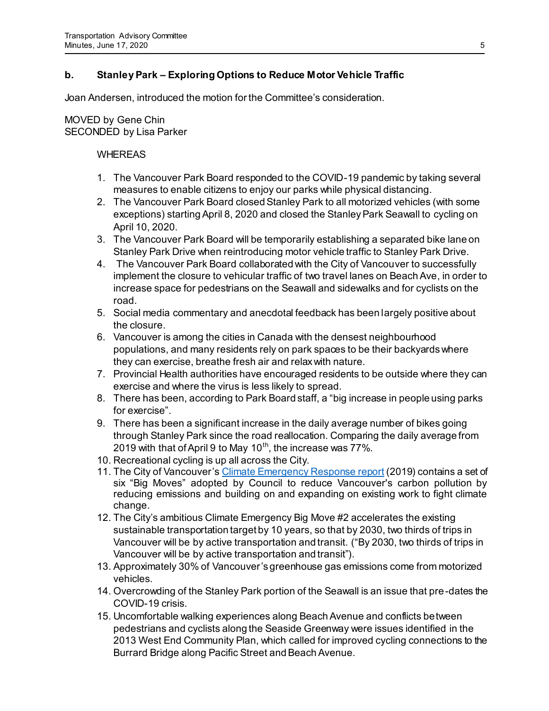# **b. Stanley Park – Exploring Options to Reduce Motor Vehicle Traffic**

Joan Andersen, introduced the motion for the Committee's consideration.

# MOVED by Gene Chin SECONDED by Lisa Parker

# WHEREAS

- 1. The Vancouver Park Board responded to the COVID-19 pandemic by taking several measures to enable citizens to enjoy our parks while physical distancing.
- 2. The Vancouver Park Board closed Stanley Park to all motorized vehicles (with some exceptions) starting April 8, 2020 and closed the Stanley Park Seawall to cycling on April 10, 2020.
- 3. The Vancouver Park Board will be temporarily establishing a separated bike lane on Stanley Park Drive when reintroducing motor vehicle traffic to Stanley Park Drive.
- 4. The Vancouver Park Board collaborated with the City of Vancouver to successfully implement the closure to vehicular traffic of two travel lanes on Beach Ave, in order to increase space for pedestrians on the Seawall and sidewalks and for cyclists on the road.
- 5. Social media commentary and anecdotal feedback has been largely positive about the closure.
- 6. Vancouver is among the cities in Canada with the densest neighbourhood populations, and many residents rely on park spaces to be their backyards where they can exercise, breathe fresh air and relax with nature.
- 7. Provincial Health authorities have encouraged residents to be outside where they can exercise and where the virus is less likely to spread.
- 8. There has been, according to Park Board staff, a "big increase in people using parks for exercise".
- 9. There has been a significant increase in the daily average number of bikes going through Stanley Park since the road reallocation. Comparing the daily average from 2019 with that of April 9 to May 10<sup>th</sup>, the increase was 77%.
- 10. Recreational cycling is up all across the City.
- 11. The City of Vancouver'[s Climate Emergency Response report](https://council.vancouver.ca/20190424/documents/cfsc1.pdf) (2019) contains a set of six "Big Moves" adopted by Council to reduce Vancouver's carbon pollution by reducing emissions and building on and expanding on existing work to fight climate change.
- 12. The City's ambitious Climate Emergency Big Move #2 accelerates the existing sustainable transportation target by 10 years, so that by 2030, two thirds of trips in Vancouver will be by active transportation and transit. ("By 2030, two thirds of trips in Vancouver will be by active transportation and transit").
- 13. Approximately 30% of Vancouver's greenhouse gas emissions come from motorized vehicles.
- 14. Overcrowding of the Stanley Park portion of the Seawall is an issue that pre-dates the COVID-19 crisis.
- 15. Uncomfortable walking experiences along Beach Avenue and conflicts between pedestrians and cyclists along the Seaside Greenway were issues identified in the 2013 West End Community Plan, which called for improved cycling connections to the Burrard Bridge along Pacific Street and Beach Avenue.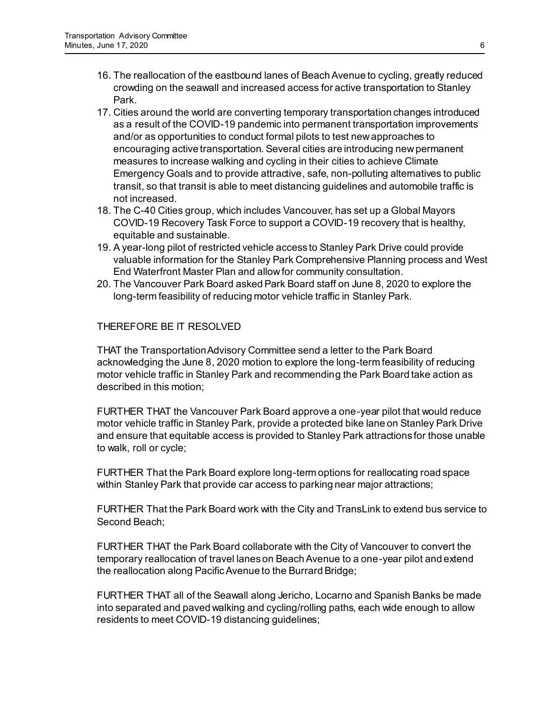- 16. The reallocation of the eastbound lanes of Beach Avenue to cycling, greatly reduced crowding on the seawall and increased access for active transportation to Stanley Park.
- 17. Cities around the world are converting temporary transportation changes introduced as a result of the COVID-19 pandemic into permanent transportation improvements and/or as opportunities to conduct formal pilots to test new approaches to encouraging active transportation. Several cities are introducing new permanent measures to increase walking and cycling in their cities to achieve Climate Emergency Goals and to provide attractive, safe, non-polluting alternatives to public transit, so that transit is able to meet distancing guidelines and automobile traffic is not increased.
- 18. The C-40 Cities group, which includes Vancouver, has set up a Global Mayors COVID-19 Recovery Task Force to support a COVID-19 recovery that is healthy, equitable and sustainable.
- 19. A year-long pilot of restricted vehicle access to Stanley Park Drive could provide valuable information for the Stanley Park Comprehensive Planning process and West End Waterfront Master Plan and allow for community consultation.
- 20. The Vancouver Park Board asked Park Board staff on June 8, 2020 to explore the long-term feasibility of reducing motor vehicle traffic in Stanley Park.

# THEREFORE BE IT RESOLVED

THAT the Transportation Advisory Committee send a letter to the Park Board acknowledging the June 8, 2020 motion to explore the long-term feasibility of reducing motor vehicle traffic in Stanley Park and recommending the Park Board take action as described in this motion;

FURTHER THAT the Vancouver Park Board approve a one-year pilot that would reduce motor vehicle traffic in Stanley Park, provide a protected bike lane on Stanley Park Drive and ensure that equitable access is provided to Stanley Park attractions for those unable to walk, roll or cycle;

FURTHER That the Park Board explore long-term options for reallocating road space within Stanley Park that provide car access to parking near major attractions;

FURTHER That the Park Board work with the City and TransLink to extend bus service to Second Beach;

FURTHER THAT the Park Board collaborate with the City of Vancouver to convert the temporary reallocation of travel lanes on Beach Avenue to a one-year pilot and extend the reallocation along Pacific Avenue to the Burrard Bridge;

FURTHER THAT all of the Seawall along Jericho, Locarno and Spanish Banks be made into separated and paved walking and cycling/rolling paths, each wide enough to allow residents to meet COVID-19 distancing guidelines;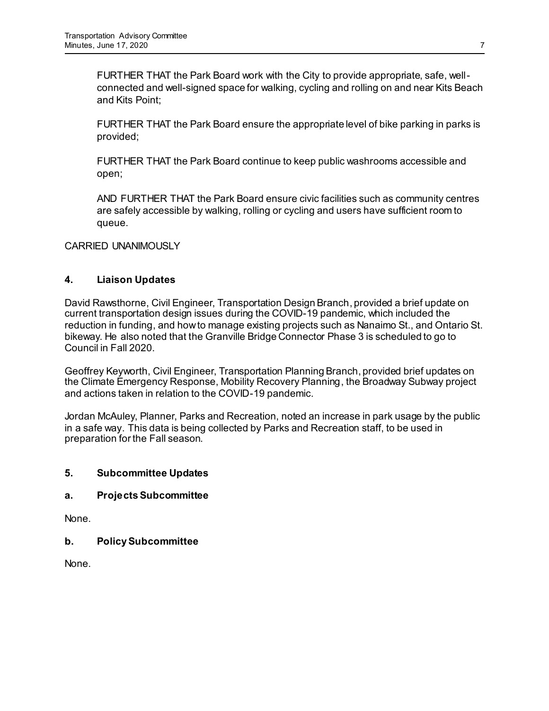FURTHER THAT the Park Board work with the City to provide appropriate, safe, wellconnected and well-signed space for walking, cycling and rolling on and near Kits Beach and Kits Point;

FURTHER THAT the Park Board ensure the appropriate level of bike parking in parks is provided;

FURTHER THAT the Park Board continue to keep public washrooms accessible and open;

AND FURTHER THAT the Park Board ensure civic facilities such as community centres are safely accessible by walking, rolling or cycling and users have sufficient room to queue.

CARRIED UNANIMOUSLY

# **4. Liaison Updates**

David Rawsthorne, Civil Engineer, Transportation Design Branch, provided a brief update on current transportation design issues during the COVID-19 pandemic, which included the reduction in funding, and how to manage existing projects such as Nanaimo St., and Ontario St. bikeway. He also noted that the Granville Bridge Connector Phase 3 is scheduled to go to Council in Fall 2020.

Geoffrey Keyworth, Civil Engineer, Transportation Planning Branch, provided brief updates on the Climate Emergency Response, Mobility Recovery Planning, the Broadway Subway project and actions taken in relation to the COVID-19 pandemic.

Jordan McAuley, Planner, Parks and Recreation, noted an increase in park usage by the public in a safe way. This data is being collected by Parks and Recreation staff, to be used in preparation for the Fall season.

## **5. Subcommittee Updates**

## **a. Projects Subcommittee**

None.

**b. Policy Subcommittee**

None.